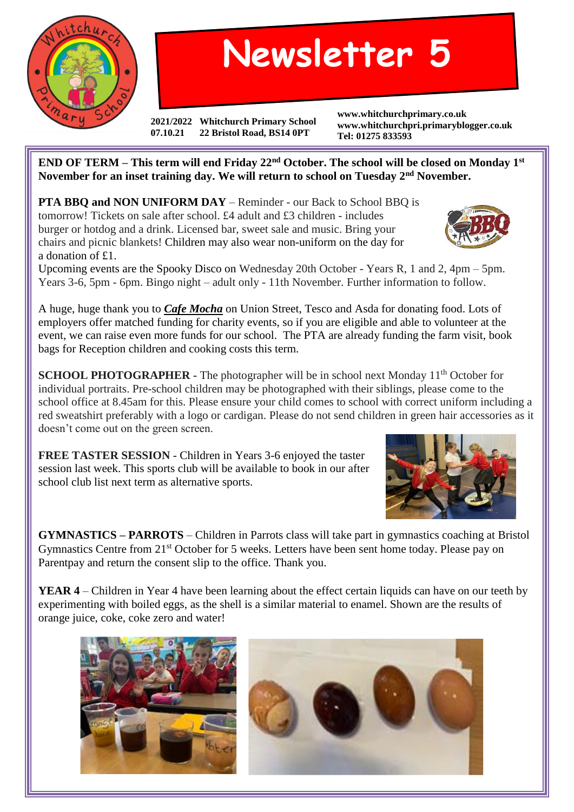

## **Newsletter 5**

**2021/2022 Whitchurch Primary School 07.10.21 22 Bristol Road, BS14 0PT**

**www.whitchurchprimary.co.uk www.whitchurchpri.primaryblogger.co.uk Tel: 01275 833593**

**END OF TERM – This term will end Friday 22nd October. The school will be closed on Monday 1st November for an inset training day. We will return to school on Tuesday 2nd November.**

**PTA BBQ and NON UNIFORM DAY** – Reminder - our Back to School BBQ is tomorrow! Tickets on sale after school. £4 adult and £3 children - includes burger or hotdog and a drink. Licensed bar, sweet sale and music. Bring your chairs and picnic blankets! Children may also wear non-uniform on the day for a donation of £1.

Upcoming events are the Spooky Disco on Wednesday 20th October - Years R, 1 and 2, 4pm – 5pm. Years 3-6, 5pm - 6pm. Bingo night – adult only - 11th November. Further information to follow.

A huge, huge thank you to *Cafe Mocha* on Union Street, Tesco and Asda for donating food. Lots of employers offer matched funding for charity events, so if you are eligible and able to volunteer at the event, we can raise even more funds for our school. The PTA are already funding the farm visit, book bags for Reception children and cooking costs this term.

**SCHOOL PHOTOGRAPHER -** The photographer will be in school next Monday 11<sup>th</sup> October for individual portraits. Pre-school children may be photographed with their siblings, please come to the school office at 8.45am for this. Please ensure your child comes to school with correct uniform including a red sweatshirt preferably with a logo or cardigan. Please do not send children in green hair accessories as it doesn't come out on the green screen.

**FREE TASTER SESSION -** Children in Years 3-6 enjoyed the taster session last week. This sports club will be available to book in our after school club list next term as alternative sports.

**GYMNASTICS – PARROTS** – Children in Parrots class will take part in gymnastics coaching at Bristol Gymnastics Centre from 21<sup>st</sup> October for 5 weeks. Letters have been sent home today. Please pay on Parentpay and return the consent slip to the office. Thank you.

**YEAR 4** – Children in Year 4 have been learning about the effect certain liquids can have on our teeth by experimenting with boiled eggs, as the shell is a similar material to enamel. Shown are the results of orange juice, coke, coke zero and water!







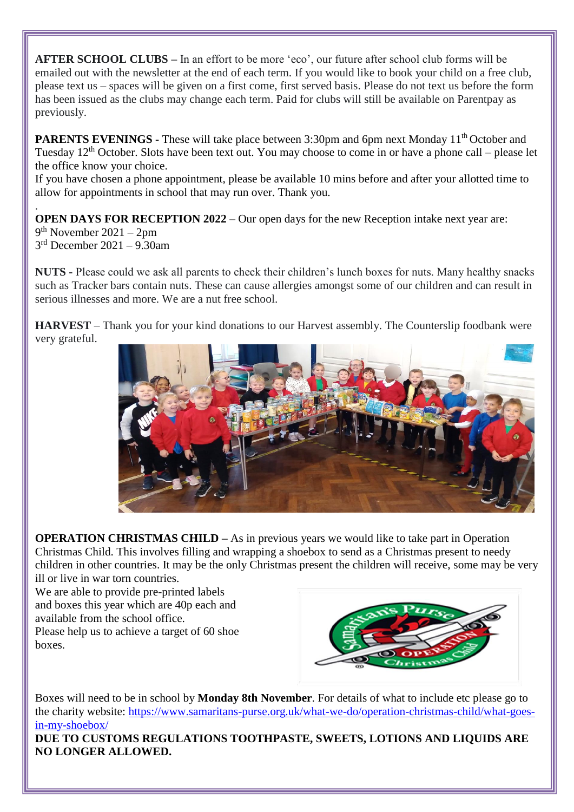**AFTER SCHOOL CLUBS –** In an effort to be more 'eco', our future after school club forms will be emailed out with the newsletter at the end of each term. If you would like to book your child on a free club, please text us – spaces will be given on a first come, first served basis. Please do not text us before the form has been issued as the clubs may change each term. Paid for clubs will still be available on Parentpay as previously.

**PARENTS EVENINGS** - These will take place between 3:30pm and 6pm next Monday 11<sup>th</sup> October and Tuesday  $12<sup>th</sup>$  October. Slots have been text out. You may choose to come in or have a phone call – please let the office know your choice.

If you have chosen a phone appointment, please be available 10 mins before and after your allotted time to allow for appointments in school that may run over. Thank you.

. **OPEN DAYS FOR RECEPTION 2022** – Our open days for the new Reception intake next year are: 9 th November 2021 – 2pm 3 rd December 2021 – 9.30am

**NUTS -** Please could we ask all parents to check their children's lunch boxes for nuts. Many healthy snacks such as Tracker bars contain nuts. These can cause allergies amongst some of our children and can result in serious illnesses and more. We are a nut free school.

**HARVEST** – Thank you for your kind donations to our Harvest assembly. The Counterslip foodbank were very grateful.



**OPERATION CHRISTMAS CHILD –** As in previous years we would like to take part in Operation Christmas Child. This involves filling and wrapping a shoebox to send as a Christmas present to needy children in other countries. It may be the only Christmas present the children will receive, some may be very ill or live in war torn countries.

We are able to provide pre-printed labels and boxes this year which are 40p each and available from the school office.

Please help us to achieve a target of 60 shoe boxes.



Boxes will need to be in school by **Monday 8th November**. For details of what to include etc please go to the charity website: [https://www.samaritans-purse.org.uk/what-we-do/operation-christmas-child/what-goes](https://www.samaritans-purse.org.uk/what-we-do/operation-christmas-child/what-goes-in-my-shoebox/)[in-my-shoebox/](https://www.samaritans-purse.org.uk/what-we-do/operation-christmas-child/what-goes-in-my-shoebox/)

**DUE TO CUSTOMS REGULATIONS TOOTHPASTE, SWEETS, LOTIONS AND LIQUIDS ARE NO LONGER ALLOWED.**